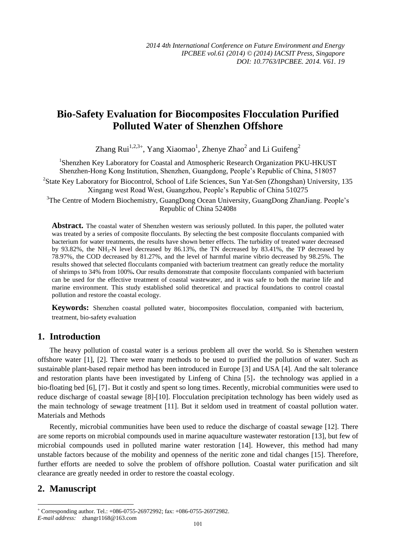# **Bio-Safety Evaluation for Biocomposites Flocculation Purified Polluted Water of Shenzhen Offshore**

Zhang Rui<sup>1,2,3+</sup>, Yang Xiaomao<sup>1</sup>, Zhenye Zhao<sup>2</sup> and Li Guifeng<sup>2</sup>

<sup>1</sup>Shenzhen Key Laboratory for Coastal and Atmospheric Research Organization PKU-HKUST Shenzhen-Hong Kong Institution, Shenzhen, Guangdong, People's Republic of China, 518057 <sup>2</sup>State Key Laboratory for Biocontrol, School of Life Sciences, Sun Yat-Sen (Zhongshan) University, 135 Xingang west Road West, Guangzhou, People's Republic of China 510275 <sup>3</sup>The Centre of Modern Biochemistry, GuangDong Ocean University, GuangDong ZhanJiang. People's Republic of China 524088

**Abstract.** The coastal water of Shenzhen western was seriously polluted. In this paper, the polluted water was treated by a series of composite flocculants. By selecting the best composite flocculants companied with bacterium for water treatments, the results have shown better effects. The turbidity of treated water decreased by 93.82%, the NH<sub>3</sub>-N level decreased by 86.13%, the TN decreased by 83.41%, the TP decreased by 78.97%, the COD decreased by 81.27%, and the level of harmful marine vibrio decreased by 98.25%. The results showed that selected flocculants companied with bacterium treatment can greatly reduce the mortality of shrimps to 34% from 100%**.** Our results demonstrate that composite flocculants companied with bacterium can be used for the effective treatment of coastal wastewater, and it was safe to both the marine life and marine environment. This study established solid theoretical and practical foundations to control coastal pollution and restore the coastal ecology.

**Keywords:** Shenzhen coastal polluted water, biocomposites flocculation, companied with bacterium, treatment, bio-safety evaluation

#### **1. Introduction**

The heavy pollution of coastal water is a serious problem all over the world. So is Shenzhen western offshore water [1], [2]. There were many methods to be used to purified the pollution of water. Such as sustainable plant-based repair method has been introduced in Europe [3] and USA [4]. And the salt tolerance and restoration plants have been investigated by Linfeng of China [5], the technology was applied in a bio-floating bed [6], [7]。But it costly and spent so long times. Recently, microbial communities were used to reduce discharge of coastal sewage [8]-[10]. Flocculation precipitation technology has been widely used as the main technology of sewage treatment [11]. But it seldom used in treatment of coastal pollution water. Materials and Methods

Recently, microbial communities have been used to reduce the discharge of coastal sewage [12]. There are some reports on microbial compounds used in marine aquaculture wastewater restoration [13], but few of microbial compounds used in polluted marine water restoration [14]. However, this method had many unstable factors because of the mobility and openness of the neritic zone and tidal changes [15]. Therefore, further efforts are needed to solve the problem of offshore pollution. Coastal water purification and silt clearance are greatly needed in order to restore the coastal ecology.

## **2. Manuscript**

-

 Corresponding author. Tel.: +086-0755-26972992; fax: +086-0755-26972982. *E-mail address:* [zhangr1168@163.com](mailto:zhangr1168@163.com)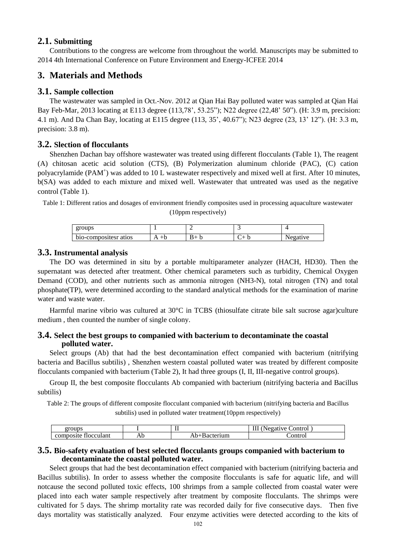#### **2.1. Submitting**

Contributions to the congress are welcome from throughout the world. Manuscripts may be submitted to 2014 4th International Conference on Future Environment and Energy-ICFEE 2014

### **3. Materials and Methods**

#### **3.1. Sample collection**

The wastewater was sampled in Oct.-Nov. 2012 at Qian Hai Bay polluted water was sampled at Qian Hai Bay Feb-Mar, 2013 locating at E113 degree (113,78', 53.25"); N22 degree (22,48' 50"). (H: 3.9 m, precision: 4.1 m). And Da Chan Bay, locating at E115 degree (113, 35', 40.67"); N23 degree (23, 13' 12"). (H: 3.3 m, precision:  $3.8$  m).

#### **3.2. Slection of flocculants**

Shenzhen Dachan bay offshore wastewater was treated using different flocculants (Table 1), The reagent (A) chitosan acetic acid solution (CTS), (B) Polymerization aluminum chloride (PAC), (C) cation polyacrylamide (PAM<sup>+</sup>) was added to 10 L wastewater respectively and mixed well at first. After 10 minutes, b(SA) was added to each mixture and mixed well. Wastewater that untreated was used as the negative control (Table 1).

Table 1: Different ratios and dosages of environment friendly composites used in processing aquaculture wastewater (10ppm respectively)

| groups               |   |  |            |
|----------------------|---|--|------------|
| bio-composites atios | ւ |  | ۱۷۵<br>A ( |

#### **3.3. Instrumental analysis**

The DO was determined in situ by a portable multiparameter analyzer (HACH, HD30). Then the supernatant was detected after treatment. Other chemical parameters such as turbidity, Chemical Oxygen Demand (COD), and other nutrients such as ammonia nitrogen (NH3-N), total nitrogen (TN) and total phosphate(TP), were determined according to the standard analytical methods for the examination of marine water and waste water.

Harmful marine vibrio was cultured at  $30 \, \text{°C}$  in TCBS (thiosulfate citrate bile salt sucrose agar)culture medium , then counted the number of single colony.

#### **3.4. Select the best groups to companied with bacterium to decontaminate the coastal polluted water.**

Select groups (Ab) that had the best decontamination effect companied with bacterium (nitrifying bacteria and Bacillus subtilis) , Shenzhen western coastal polluted water was treated by different composite flocculants companied with bacterium (Table 2), It had three groups (I, II, III-negative control groups).

Group II, the best composite flocculants Ab companied with bacterium (nitrifying bacteria and Bacillus subtilis)

Table 2: The groups of different composite flocculant companied with bacterium (nitrifying bacteria and Bacillus subtilis) used in polluted water treatment(10ppm respectively)

| הרורי<br>σrι<br>oups                      |            | .                     | ontro<br>متدده و<br> |
|-------------------------------------------|------------|-----------------------|----------------------|
| -<br><b>Hocculan</b><br>жне<br>וו<br>,,,, | AD.<br>___ | ----<br>и<br>um<br>ıι | ontro                |

#### **3.5. Bio-safety evaluation of best selected flocculants groups companied with bacterium to decontaminate the coastal polluted water.**

Select groups that had the best decontamination effect companied with bacterium (nitrifying bacteria and Bacillus subtilis). In order to assess whether the composite flocculants is safe for aquatic life, and will notcause the second polluted toxic effects, 100 shrimps from a sample collected from coastal water were placed into each water sample respectively after treatment by composite flocculants. The shrimps were cultivated for 5 days. The shrimp mortality rate was recorded daily for five consecutive days. Then five days mortality was statistically analyzed. Four enzyme activities were detected according to the kits of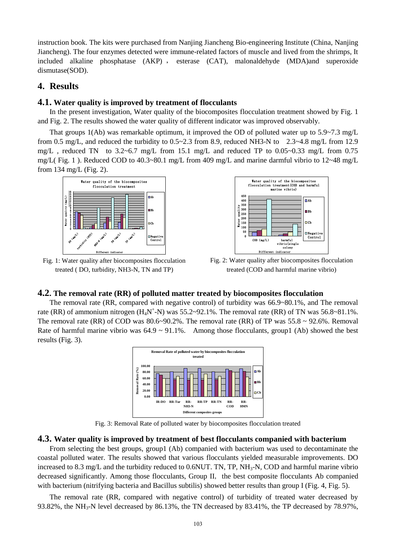instruction book. The kits were purchased from Nanjing Jiancheng Bio-engineering Institute (China, Nanjing Jiancheng). The four enzymes detected were immune-related factors of muscle and lived from the shrimps, It included alkaline phosphatase (AKP) , esterase (CAT), malonaldehyde (MDA)and superoxide dismutase(SOD).

### **4. Results**

#### **4.1. Water quality is improved by treatment of flocculants**

In the present investigation, Water quality of the biocomposites flocculation treatment showed by Fig. 1 and Fig. 2. The results showed the water quality of different indicator was improved observably.

That groups 1(Ab) was remarkable optimum, it improved the OD of polluted water up to 5.9~7.3 mg/L from 0.5 mg/L, and reduced the turbidity to 0.5~2.3 from 8.9, reduced NH3-N to 2.3~4.8 mg/L from 12.9 mg/L, reduced TN to  $3.2~6.7$  mg/L from 15.1 mg/L and reduced TP to  $0.05~0.33$  mg/L from 0.75 mg/L( Fig. 1 ). Reduced COD to 40.3~80.1 mg/L from 409 mg/L and marine darmful vibrio to 12~48 mg/L from 134 mg/L (Fig. 2).





Fig. 1: Water quality after biocomposites flocculation treated ( DO, turbidity, NH3-N, TN and TP)

Fig. 2: Water quality after biocomposites flocculation treated (COD and harmful marine vibrio)

#### **4.2. The removal rate (RR) of polluted matter treated by biocomposites flocculation**

The removal rate (RR, compared with negative control) of turbidity was 66.9~80.1%, and The removal rate (RR) of ammonium nitrogen  $(H_4N^+N)$  was 55.2~92.1%. The removal rate (RR) of TN was 56.8~81.1%. The removal rate (RR) of COD was  $80.6~90.2\%$ . The removal rate (RR) of TP was  $55.8 \sim 92.6\%$ . Removal Rate of harmful marine vibrio was  $64.9 \sim 91.1\%$ . Among those flocculants, group1 (Ab) showed the best results (Fig. 3).



Fig. 3: Removal Rate of polluted water by biocomposites flocculation treated

#### **4.3. Water quality is improved by treatment of best flocculants companied with bacterium**

From selecting the best groups, group1 (Ab) companied with bacterium was used to decontaminate the coastal polluted water. The results showed that various flocculants yielded measurable improvements. DO increased to 8.3 mg/L and the turbidity reduced to 0.6NUT. TN, TP,  $NH<sub>3</sub>$ -N, COD and harmful marine vibrio decreased significantly. Among those flocculants, Group II, the best composite flocculants Ab companied with bacterium (nitrifying bacteria and Bacillus subtilis) showed better results than group I (Fig. 4, Fig. 5).

The removal rate (RR, compared with negative control) of turbidity of treated water decreased by 93.82%, the NH<sub>3</sub>-N level decreased by 86.13%, the TN decreased by 83.41%, the TP decreased by 78.97%,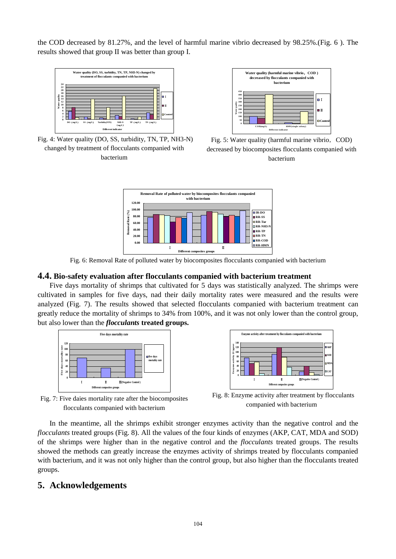the COD decreased by 81.27%, and the level of harmful marine vibrio decreased by 98.25%.(Fig. 6 ). The results showed that group II was better than group I.



Fig. 4: Water quality (DO, SS, turbidity, TN, TP, NH3-N) changed by treatment of flocculants companied with bacterium



Fig. 5: Water quality (harmful marine vibrio, COD) decreased by biocomposites flocculants companied with bacterium



Fig. 6: Removal Rate of polluted water by biocomposites flocculants companied with bacterium

#### **4.4. Bio-safety evaluation after flocculants companied with bacterium treatment**

Five days mortality of shrimps that cultivated for 5 days was statistically analyzed. The shrimps were cultivated in samples for five days, nad their daily mortality rates were measured and the results were analyzed (Fig. 7). The results showed that selected flocculants companied with bacterium treatment can greatly reduce the mortality of shrimps to 34% from 100%, and it was not only lower than the control group, but also lower than the *flocculants* **treated groups.**





Fig. 7: Five daies mortality rate after the biocomposites flocculants companied with bacterium

Fig. 8: Enzyme activity after treatment by flocculants companied with bacterium

In the meantime, all the shrimps exhibit stronger enzymes activity than the negative control and the *flocculants* treated groups (Fig. 8). All the values of the four kinds of enzymes (AKP, CAT, MDA and SOD) of the shrimps were higher than in the negative control and the *flocculants* treated groups. The results showed the methods can greatly increase the enzymes activity of shrimps treated by flocculants companied with bacterium, and it was not only higher than the control group, but also higher than the flocculants treated groups.

### **5. Acknowledgements**